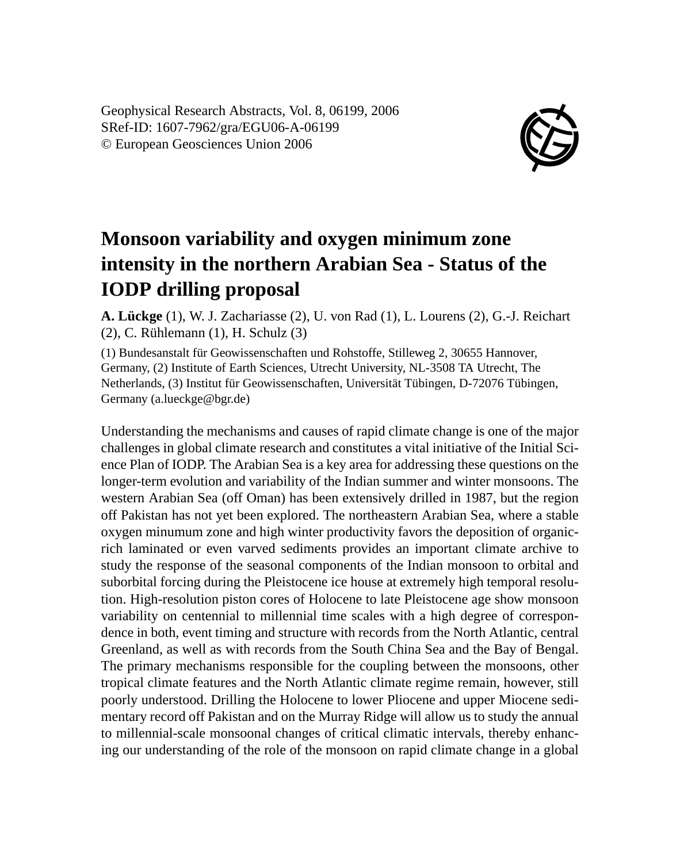Geophysical Research Abstracts, Vol. 8, 06199, 2006 SRef-ID: 1607-7962/gra/EGU06-A-06199 © European Geosciences Union 2006



## **Monsoon variability and oxygen minimum zone intensity in the northern Arabian Sea - Status of the IODP drilling proposal**

**A. Lückge** (1), W. J. Zachariasse (2), U. von Rad (1), L. Lourens (2), G.-J. Reichart (2), C. Rühlemann (1), H. Schulz (3)

(1) Bundesanstalt für Geowissenschaften und Rohstoffe, Stilleweg 2, 30655 Hannover, Germany, (2) Institute of Earth Sciences, Utrecht University, NL-3508 TA Utrecht, The Netherlands, (3) Institut für Geowissenschaften, Universität Tübingen, D-72076 Tübingen, Germany (a.lueckge@bgr.de)

Understanding the mechanisms and causes of rapid climate change is one of the major challenges in global climate research and constitutes a vital initiative of the Initial Science Plan of IODP. The Arabian Sea is a key area for addressing these questions on the longer-term evolution and variability of the Indian summer and winter monsoons. The western Arabian Sea (off Oman) has been extensively drilled in 1987, but the region off Pakistan has not yet been explored. The northeastern Arabian Sea, where a stable oxygen minumum zone and high winter productivity favors the deposition of organicrich laminated or even varved sediments provides an important climate archive to study the response of the seasonal components of the Indian monsoon to orbital and suborbital forcing during the Pleistocene ice house at extremely high temporal resolution. High-resolution piston cores of Holocene to late Pleistocene age show monsoon variability on centennial to millennial time scales with a high degree of correspondence in both, event timing and structure with records from the North Atlantic, central Greenland, as well as with records from the South China Sea and the Bay of Bengal. The primary mechanisms responsible for the coupling between the monsoons, other tropical climate features and the North Atlantic climate regime remain, however, still poorly understood. Drilling the Holocene to lower Pliocene and upper Miocene sedimentary record off Pakistan and on the Murray Ridge will allow us to study the annual to millennial-scale monsoonal changes of critical climatic intervals, thereby enhancing our understanding of the role of the monsoon on rapid climate change in a global